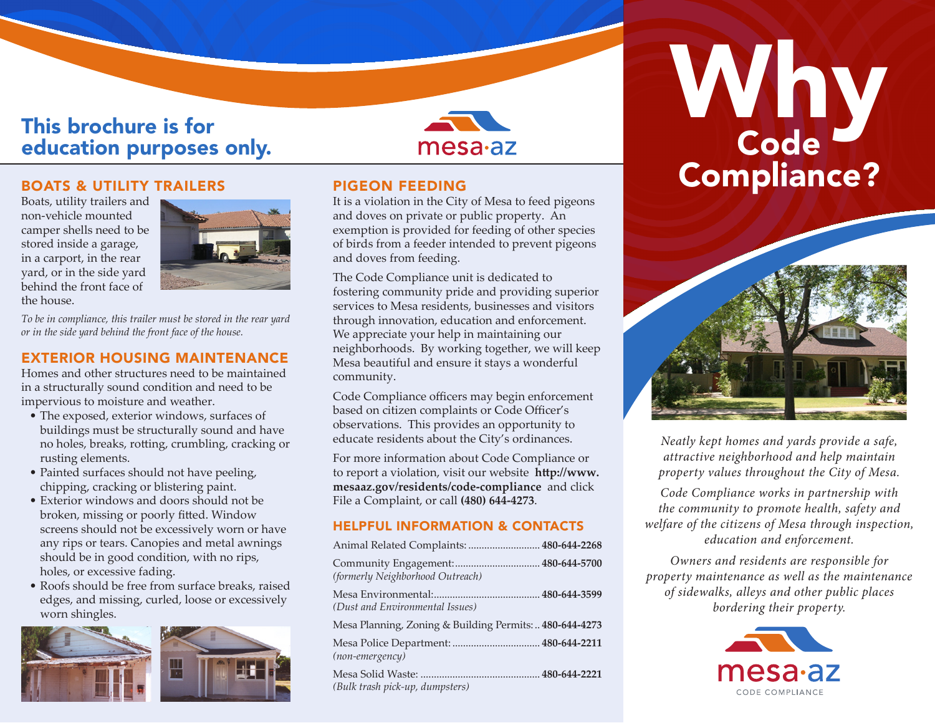## This brochure is for education purposes only.



Boats, utility trailers and non-vehicle mounted camper shells need to be stored inside a garage, in a carport, in the rear yard, or in the side yard behind the front face of the house.



*To be in compliance, this trailer must be stored in the rear yard or in the side yard behind the front face of the house.*

#### EXTERIOR HOUSING MAINTENANCE

Homes and other structures need to be maintained in a structurally sound condition and need to be impervious to moisture and weather.

- The exposed, exterior windows, surfaces of buildings must be structurally sound and have no holes, breaks, rotting, crumbling, cracking or rusting elements.
- Painted surfaces should not have peeling, chipping, cracking or blistering paint.
- Exterior windows and doors should not be broken, missing or poorly fitted. Window screens should not be excessively worn or have any rips or tears. Canopies and metal awnings should be in good condition, with no rips, holes, or excessive fading.
- Roofs should be free from surface breaks, raised edges, and missing, curled, loose or excessively worn shingles.



#### PIGEON FEEDING

It is a violation in the City of Mesa to feed pigeons and doves on private or public property. An exemption is provided for feeding of other species of birds from a feeder intended to prevent pigeons and doves from feeding.

The Code Compliance unit is dedicated to fostering community pride and providing superior services to Mesa residents, businesses and visitors through innovation, education and enforcement. We appreciate your help in maintaining our neighborhoods. By working together, we will keep Mesa beautiful and ensure it stays a wonderful community.

Code Compliance officers may begin enforcement based on citizen complaints or Code Officer's observations. This provides an opportunity to educate residents about the City's ordinances.

For more information about Code Compliance or to report a violation, visit our website **http://www. mesaaz.gov/residents/code-compliance** and click File a Complaint, or call **(480) 644-4273**.

#### HELPFUL INFORMATION & CONTACTS

| Animal Related Complaints:  480-644-2268               |  |
|--------------------------------------------------------|--|
| (formerly Neighborhood Outreach)                       |  |
| (Dust and Environmental Issues)                        |  |
| Mesa Planning, Zoning & Building Permits: 480-644-4273 |  |
| (non-emergency)                                        |  |
| (Bulk trash pick-up, dumpsters)                        |  |

# Why<br>Code BOATS & UTILITY TRAILERS PIGEON FEEDING **Compliance?**



*Neatly kept homes and yards provide a safe, attractive neighborhood and help maintain property values throughout the City of Mesa.*

*Code Compliance works in partnership with the community to promote health, safety and welfare of the citizens of Mesa through inspection, education and enforcement.*

*Owners and residents are responsible for property maintenance as well as the maintenance of sidewalks, alleys and other public places bordering their property.*